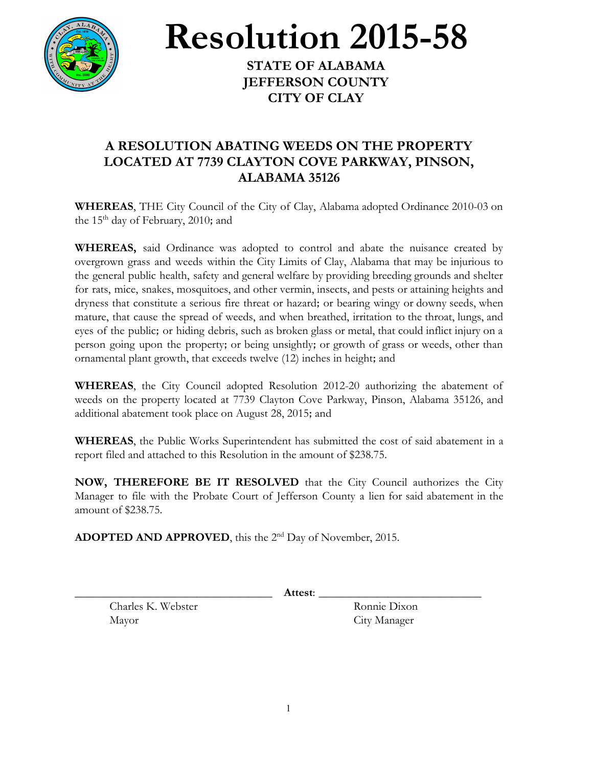

**Resolution 2015-58**

**STATE OF ALABAMA JEFFERSON COUNTY CITY OF CLAY**

## **A RESOLUTION ABATING WEEDS ON THE PROPERTY LOCATED AT 7739 CLAYTON COVE PARKWAY, PINSON, ALABAMA 35126**

**WHEREAS**, THE City Council of the City of Clay, Alabama adopted Ordinance 2010-03 on the 15<sup>th</sup> day of February, 2010; and

**WHEREAS,** said Ordinance was adopted to control and abate the nuisance created by overgrown grass and weeds within the City Limits of Clay, Alabama that may be injurious to the general public health, safety and general welfare by providing breeding grounds and shelter for rats, mice, snakes, mosquitoes, and other vermin, insects, and pests or attaining heights and dryness that constitute a serious fire threat or hazard; or bearing wingy or downy seeds, when mature, that cause the spread of weeds, and when breathed, irritation to the throat, lungs, and eyes of the public; or hiding debris, such as broken glass or metal, that could inflict injury on a person going upon the property; or being unsightly; or growth of grass or weeds, other than ornamental plant growth, that exceeds twelve (12) inches in height; and

**WHEREAS**, the City Council adopted Resolution 2012-20 authorizing the abatement of weeds on the property located at 7739 Clayton Cove Parkway, Pinson, Alabama 35126, and additional abatement took place on August 28, 2015; and

**WHEREAS**, the Public Works Superintendent has submitted the cost of said abatement in a report filed and attached to this Resolution in the amount of \$238.75.

**NOW, THEREFORE BE IT RESOLVED** that the City Council authorizes the City Manager to file with the Probate Court of Jefferson County a lien for said abatement in the amount of \$238.75.

**ADOPTED AND APPROVED**, this the 2<sup>nd</sup> Day of November, 2015.

\_\_\_\_\_\_\_\_\_\_\_\_\_\_\_\_\_\_\_\_\_\_\_\_\_\_\_\_\_\_\_\_\_\_ **Attest**: \_\_\_\_\_\_\_\_\_\_\_\_\_\_\_\_\_\_\_\_\_\_\_\_\_\_\_\_

Charles K. Webster Ronnie Dixon Mayor City Manager